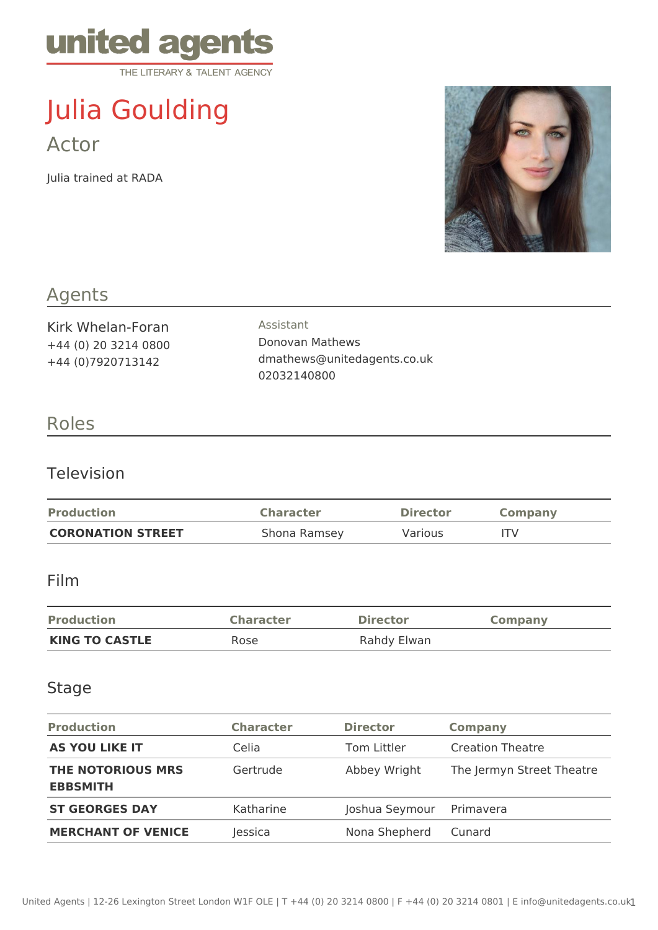

# Julia Goulding Actor

Julia trained at RADA



## Agents

Kirk Whelan-Foran +44 (0) 20 3214 0800 +44 (0)7920713142

Assistant Donovan Mathews dmathews@unitedagents.co.uk 02032140800

## Roles

#### Television

| <b>Production</b>        | <b>Character</b> | <b>Director</b> | <b>Company</b> |
|--------------------------|------------------|-----------------|----------------|
| <b>CORONATION STREET</b> | Shona Ramsey     | <b>Various</b>  | ITV            |

#### Film

| <b>Production</b>     | <b>Character</b> | <b>Director</b> | <b>Company</b> |
|-----------------------|------------------|-----------------|----------------|
| <b>KING TO CASTLE</b> | Rose             | Rahdy Elwan     |                |

#### Stage

| <b>Production</b>                           | <b>Character</b> | <b>Director</b> | <b>Company</b>            |
|---------------------------------------------|------------------|-----------------|---------------------------|
| <b>AS YOU LIKE IT</b>                       | Celia            | Tom Littler     | <b>Creation Theatre</b>   |
| <b>THE NOTORIOUS MRS</b><br><b>EBBSMITH</b> | Gertrude         | Abbey Wright    | The Jermyn Street Theatre |
| <b>ST GEORGES DAY</b>                       | Katharine        | Joshua Seymour  | Primavera                 |
| <b>MERCHANT OF VENICE</b>                   | lessica          | Nona Shepherd   | Cunard                    |